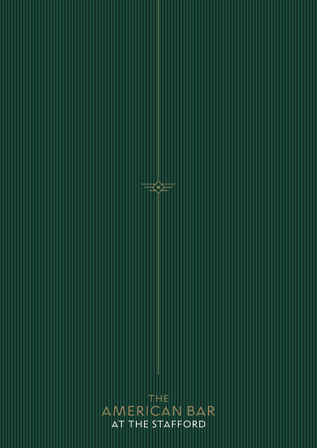THE AMERICAN BAR AT THE STAFFORD

 $\equiv$   $\geq$